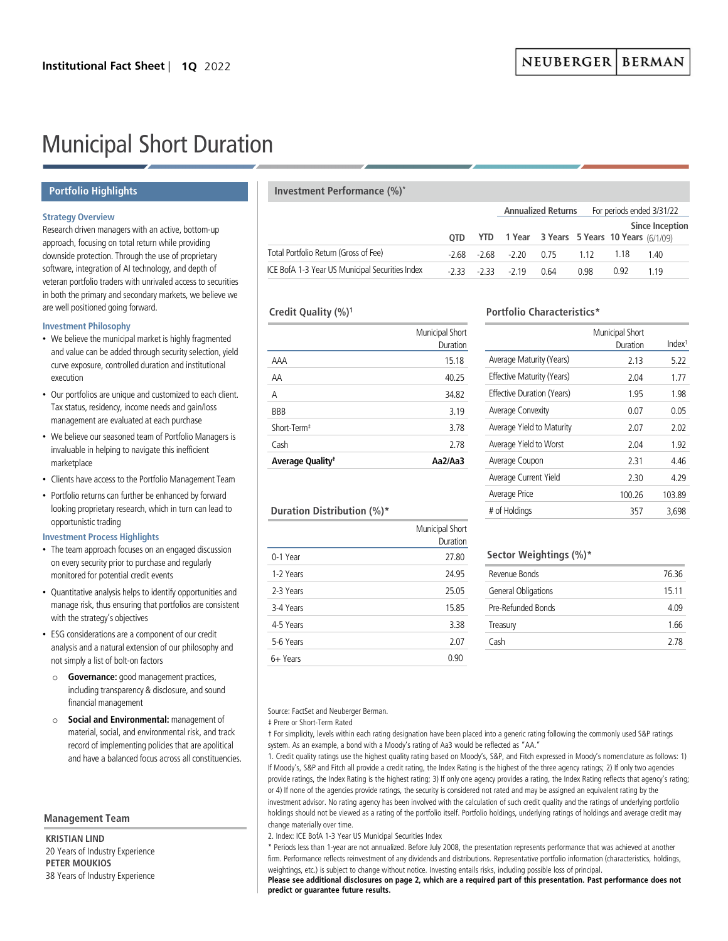# Municipal Short Duration

## **Portfolio Highlights**

## **Strategy Overview**

Research driven managers with an active, bottom-up approach, focusing on total return while providing downside protection. Through the use of proprietary software, integration of AI technology, and depth of veteran portfolio traders with unrivaled access to securities in both the primary and secondary markets, we believe we are well positioned going forward.

## **Investment Philosophy**

- We believe the municipal market is highly fragmented and value can be added through security selection, yield curve exposure, controlled duration and institutional execution
- Our portfolios are unique and customized to each client. Tax status, residency, income needs and gain/loss management are evaluated at each purchase
- We believe our seasoned team of Portfolio Managers is invaluable in helping to navigate this inefficient marketplace
- Clients have access to the Portfolio Management Team
- Portfolio returns can further be enhanced by forward looking proprietary research, which in turn can lead to opportunistic trading

## **Investment Process Highlights**

- The team approach focuses on an engaged discussion on every security prior to purchase and regularly monitored for potential credit events
- Quantitative analysis helps to identify opportunities and manage risk, thus ensuring that portfolios are consistent with the strategy's objectives
- ESG considerations are a component of our credit analysis and a natural extension of our philosophy and not simply a list of bolt-on factors
	- o **Governance:** good management practices, including transparency & disclosure, and sound financial management
	- o **Social and Environmental:** management of material, social, and environmental risk, and track record of implementing policies that are apolitical and have a balanced focus across all constituencies.

## **Management Team**

**KRISTIAN LIND** 20 Years of Industry Experience **PETER MOUKIOS** 38 Years of Industry Experience

## **Investment Performance (%)\***

|                                                 |  |                    |                                                         |      | Annualized Returns For periods ended 3/31/22 |                 |  |
|-------------------------------------------------|--|--------------------|---------------------------------------------------------|------|----------------------------------------------|-----------------|--|
|                                                 |  |                    |                                                         |      |                                              | Since Inception |  |
|                                                 |  |                    | <b>OTD</b> YTD 1 Year 3 Years 5 Years 10 Years (6/1/09) |      |                                              |                 |  |
| Total Portfolio Return (Gross of Fee)           |  |                    | $-2.68$ $-2.68$ $-2.20$ 0.75 1.12                       |      | - 1 18                                       | 140             |  |
| ICE BofA 1-3 Year US Municipal Securities Index |  | $-233 - 233 - 219$ | 0.64                                                    | 0.98 | በ 92                                         | 1 1 9           |  |

## **Credit Quality (%)1**

|                              | Municipal Short<br>Duration |
|------------------------------|-----------------------------|
| AAA                          | 15.18                       |
| AA                           | 40.25                       |
| Α                            | 34.82                       |
| BBB                          | 3.19                        |
| Short-Term <sup>#</sup>      | 3.78                        |
| Cash                         | 2.78                        |
| Average Quality <sup>†</sup> | Aa2/Aa3                     |

# **Portfolio Characteristics\***

|                            | Municipal Short |                    |
|----------------------------|-----------------|--------------------|
|                            | Duration        | Index <sup>1</sup> |
| Average Maturity (Years)   | 2.13            | 5.22               |
| Effective Maturity (Years) | 2.04            | 1.77               |
| Effective Duration (Years) | 1.95            | 1.98               |
| Average Convexity          | 0.07            | 0.05               |
| Average Yield to Maturity  | 2.07            | 2.02               |
| Average Yield to Worst     | 2.04            | 1.92               |
| Average Coupon             | 2.31            | 4 4 6              |
| Average Current Yield      | 2.30            | 4.29               |
| Average Price              | 100.26          | 103.89             |
| # of Holdings              | 357             | 3.698              |

## **Duration Distribution (%)\***

|           | Municipal Short<br>Duration |
|-----------|-----------------------------|
| 0-1 Year  | 27.80                       |
| 1-2 Years | 24.95                       |
| 2-3 Years | 25.05                       |
| 3-4 Years | 15.85                       |
| 4-5 Years | 3.38                        |
| 5-6 Years | 2.07                        |
| 6+ Years  | 0 ዓበ                        |

## **Sector Weightings (%)\***

| Revenue Bonds       | 7636  |
|---------------------|-------|
| General Obligations | 15 11 |
| Pre-Refunded Bonds  | 4.09  |
| Treasury            | 166   |
| Cash                | 278   |
|                     |       |

## Source: FactSet and Neuberger Berman.

‡ Prere or Short-Term Rated

† For simplicity, levels within each rating designation have been placed into a generic rating following the commonly used S&P ratings system. As an example, a bond with a Moody's rating of Aa3 would be reflected as "AA."

1. Credit quality ratings use the highest quality rating based on Moody's, S&P, and Fitch expressed in Moody's nomenclature as follows: 1) If Moody's, S&P and Fitch all provide a credit rating, the Index Rating is the highest of the three agency ratings; 2) If only two agencies provide ratings, the Index Rating is the highest rating; 3) If only one agency provides a rating, the Index Rating reflects that agency's rating; or 4) If none of the agencies provide ratings, the security is considered not rated and may be assigned an equivalent rating by the investment advisor. No rating agency has been involved with the calculation of such credit quality and the ratings of underlying portfolio holdings should not be viewed as a rating of the portfolio itself. Portfolio holdings, underlying ratings of holdings and average credit may change materially over time.

## 2. Index: ICE BofA 1-3 Year US Municipal Securities Index

\* Periods less than 1-year are not annualized. Before July 2008, the presentation represents performance that was achieved at another firm. Performance reflects reinvestment of any dividends and distributions. Representative portfolio information (characteristics, holdings, weightings, etc.) is subject to change without notice. Investing entails risks, including possible loss of principal.

**Please see additional disclosures on page 2, which are a required part of this presentation. Past performance does not predict or guarantee future results.**